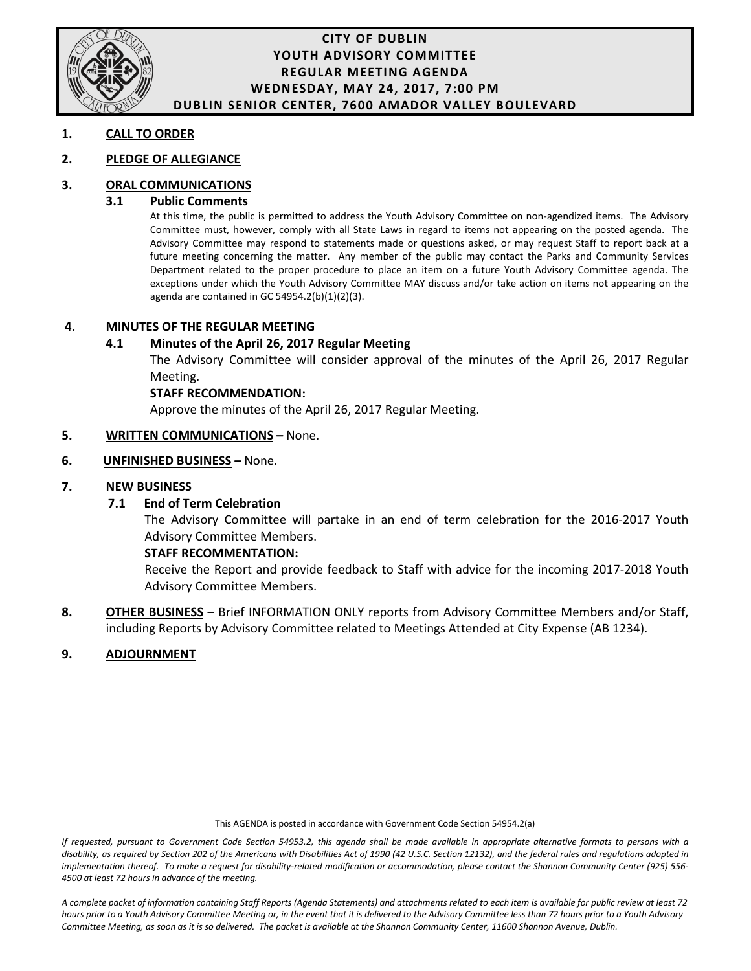

## **CITY OF DUBLIN YOUTH ADVISORY COMMITTEE REGULAR MEETING AGENDA WEDNESDAY, MAY 24, 2017, 7:00 PM DUBLIN SENIOR CENTER, 7600 AMADOR VALLEY BOULEVARD**

## **1. CALL TO ORDER**

## **2. PLEDGE OF ALLEGIANCE**

## **3. ORAL COMMUNICATIONS**

### **3.1 Public Comments**

At this time, the public is permitted to address the Youth Advisory Committee on non-agendized items. The Advisory Committee must, however, comply with all State Laws in regard to items not appearing on the posted agenda. The Advisory Committee may respond to statements made or questions asked, or may request Staff to report back at a future meeting concerning the matter. Any member of the public may contact the Parks and Community Services Department related to the proper procedure to place an item on a future Youth Advisory Committee agenda. The exceptions under which the Youth Advisory Committee MAY discuss and/or take action on items not appearing on the agenda are contained in GC 54954.2(b)(1)(2)(3).

## **4. MINUTES OF THE REGULAR MEETING**

## **4.1 Minutes of the April 26, 2017 Regular Meeting**

The Advisory Committee will consider approval of the minutes of the April 26, 2017 Regular Meeting.

### **STAFF RECOMMENDATION:**

Approve the minutes of the April 26, 2017 Regular Meeting.

## **5. WRITTEN COMMUNICATIONS –** None.

## **6. UNFINISHED BUSINESS –** None.

## **7. NEW BUSINESS**

### **7.1 End of Term Celebration**

The Advisory Committee will partake in an end of term celebration for the 2016-2017 Youth Advisory Committee Members.

### **STAFF RECOMMENTATION:**

Receive the Report and provide feedback to Staff with advice for the incoming 2017-2018 Youth Advisory Committee Members.

**8. OTHER BUSINESS** – Brief INFORMATION ONLY reports from Advisory Committee Members and/or Staff, including Reports by Advisory Committee related to Meetings Attended at City Expense (AB 1234).

## **9. ADJOURNMENT**

This AGENDA is posted in accordance with Government Code Section 54954.2(a)

*If requested, pursuant to Government Code Section 54953.2, this agenda shall be made available in appropriate alternative formats to persons with a*  disability, as required by Section 202 of the Americans with Disabilities Act of 1990 (42 U.S.C. Section 12132), and the federal rules and regulations adopted in *implementation thereof. To make a request for disability-related modification or accommodation, please contact the Shannon Community Center (925) 556- 4500 at least 72 hours in advance of the meeting.*

*A complete packet of information containing Staff Reports (Agenda Statements) and attachments related to each item is available for public review at least 72 hours prior to a Youth Advisory Committee Meeting or, in the event that it is delivered to the Advisory Committee less than 72 hours prior to a Youth Advisory*  Committee Meeting, as soon as it is so delivered. The packet is available at the Shannon Community Center, 11600 Shannon Avenue, Dublin.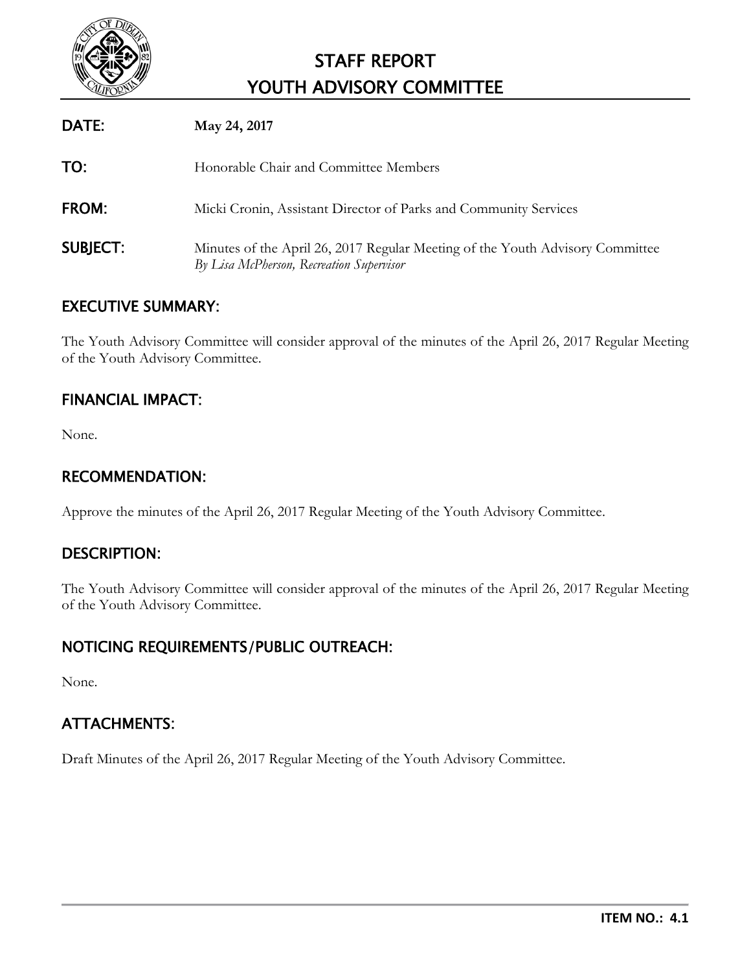

# STAFF REPORT YOUTH ADVISORY COMMITTEE

| DATE:           | May 24, 2017                                                                                                              |
|-----------------|---------------------------------------------------------------------------------------------------------------------------|
| TO:             | Honorable Chair and Committee Members                                                                                     |
| FROM:           | Micki Cronin, Assistant Director of Parks and Community Services                                                          |
| <b>SUBJECT:</b> | Minutes of the April 26, 2017 Regular Meeting of the Youth Advisory Committee<br>By Lisa McPherson, Recreation Supervisor |

# EXECUTIVE SUMMARY:

The Youth Advisory Committee will consider approval of the minutes of the April 26, 2017 Regular Meeting of the Youth Advisory Committee.

# FINANCIAL IMPACT:

None.

# RECOMMENDATION:

Approve the minutes of the April 26, 2017 Regular Meeting of the Youth Advisory Committee.

# DESCRIPTION:

The Youth Advisory Committee will consider approval of the minutes of the April 26, 2017 Regular Meeting of the Youth Advisory Committee.

# NOTICING REQUIREMENTS/PUBLIC OUTREACH:

None.

# ATTACHMENTS:

Draft Minutes of the April 26, 2017 Regular Meeting of the Youth Advisory Committee.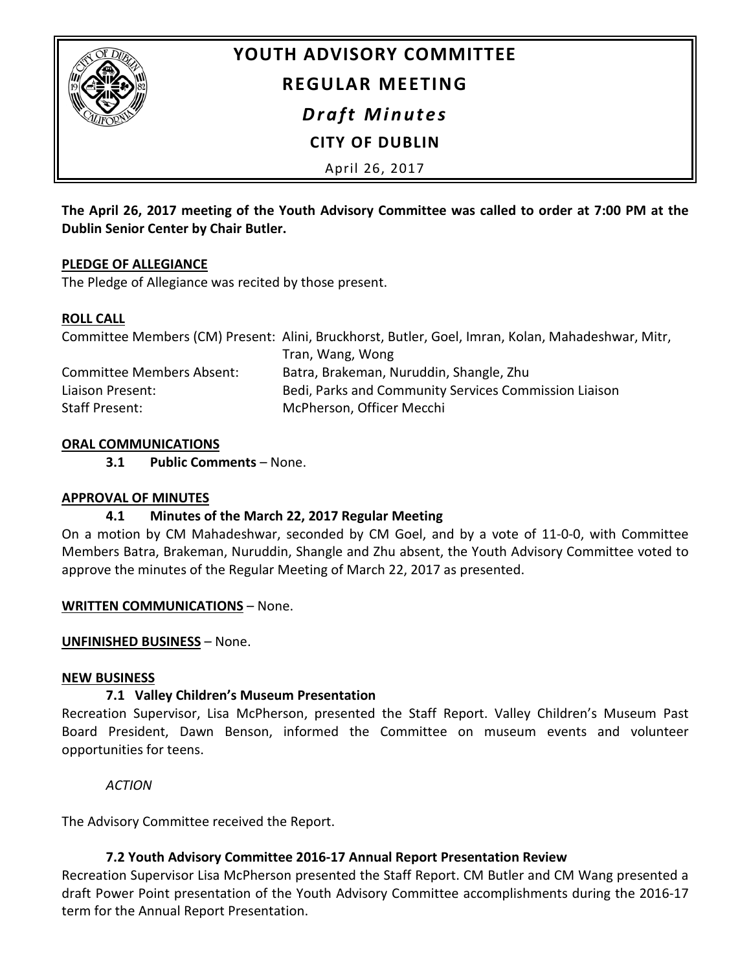

# **YOUTH ADVISORY COMMITTEE**

# **REGULAR MEETING**

*Draft Minutes*

# **CITY OF DUBLIN**

April 26, 2017

**The April 26, 2017 meeting of the Youth Advisory Committee was called to order at 7:00 PM at the Dublin Senior Center by Chair Butler.**

# **PLEDGE OF ALLEGIANCE**

The Pledge of Allegiance was recited by those present.

# **ROLL CALL**

|                                  | Committee Members (CM) Present: Alini, Bruckhorst, Butler, Goel, Imran, Kolan, Mahadeshwar, Mitr, |
|----------------------------------|---------------------------------------------------------------------------------------------------|
|                                  | Tran, Wang, Wong                                                                                  |
| <b>Committee Members Absent:</b> | Batra, Brakeman, Nuruddin, Shangle, Zhu                                                           |
| Liaison Present:                 | Bedi, Parks and Community Services Commission Liaison                                             |
| Staff Present:                   | McPherson, Officer Mecchi                                                                         |

# **ORAL COMMUNICATIONS**

**3.1 Public Comments** – None.

# **APPROVAL OF MINUTES**

# **4.1 Minutes of the March 22, 2017 Regular Meeting**

On a motion by CM Mahadeshwar, seconded by CM Goel, and by a vote of 11-0-0, with Committee Members Batra, Brakeman, Nuruddin, Shangle and Zhu absent, the Youth Advisory Committee voted to approve the minutes of the Regular Meeting of March 22, 2017 as presented.

## **WRITTEN COMMUNICATIONS** – None.

# **UNFINISHED BUSINESS** – None.

## **NEW BUSINESS**

# **7.1 Valley Children's Museum Presentation**

Recreation Supervisor, Lisa McPherson, presented the Staff Report. Valley Children's Museum Past Board President, Dawn Benson, informed the Committee on museum events and volunteer opportunities for teens.

*ACTION*

The Advisory Committee received the Report.

# **7.2 Youth Advisory Committee 2016-17 Annual Report Presentation Review**

Recreation Supervisor Lisa McPherson presented the Staff Report. CM Butler and CM Wang presented a draft Power Point presentation of the Youth Advisory Committee accomplishments during the 2016-17 term for the Annual Report Presentation.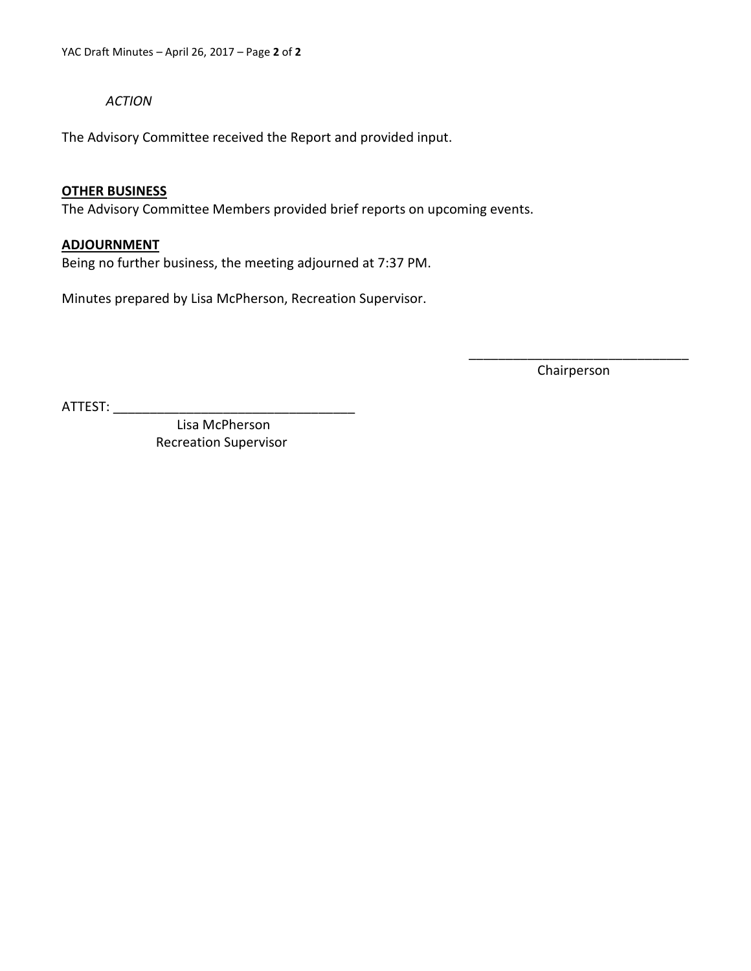*ACTION*

The Advisory Committee received the Report and provided input.

## **OTHER BUSINESS**

The Advisory Committee Members provided brief reports on upcoming events.

## **ADJOURNMENT**

Being no further business, the meeting adjourned at 7:37 PM.

Minutes prepared by Lisa McPherson, Recreation Supervisor.

\_\_\_\_\_\_\_\_\_\_\_\_\_\_\_\_\_\_\_\_\_\_\_\_\_\_\_\_\_\_ Chairperson

ATTEST: \_\_\_\_\_\_\_\_\_\_\_\_\_\_\_\_\_\_\_\_\_\_\_\_\_\_\_\_\_\_\_\_\_

 Lisa McPherson Recreation Supervisor